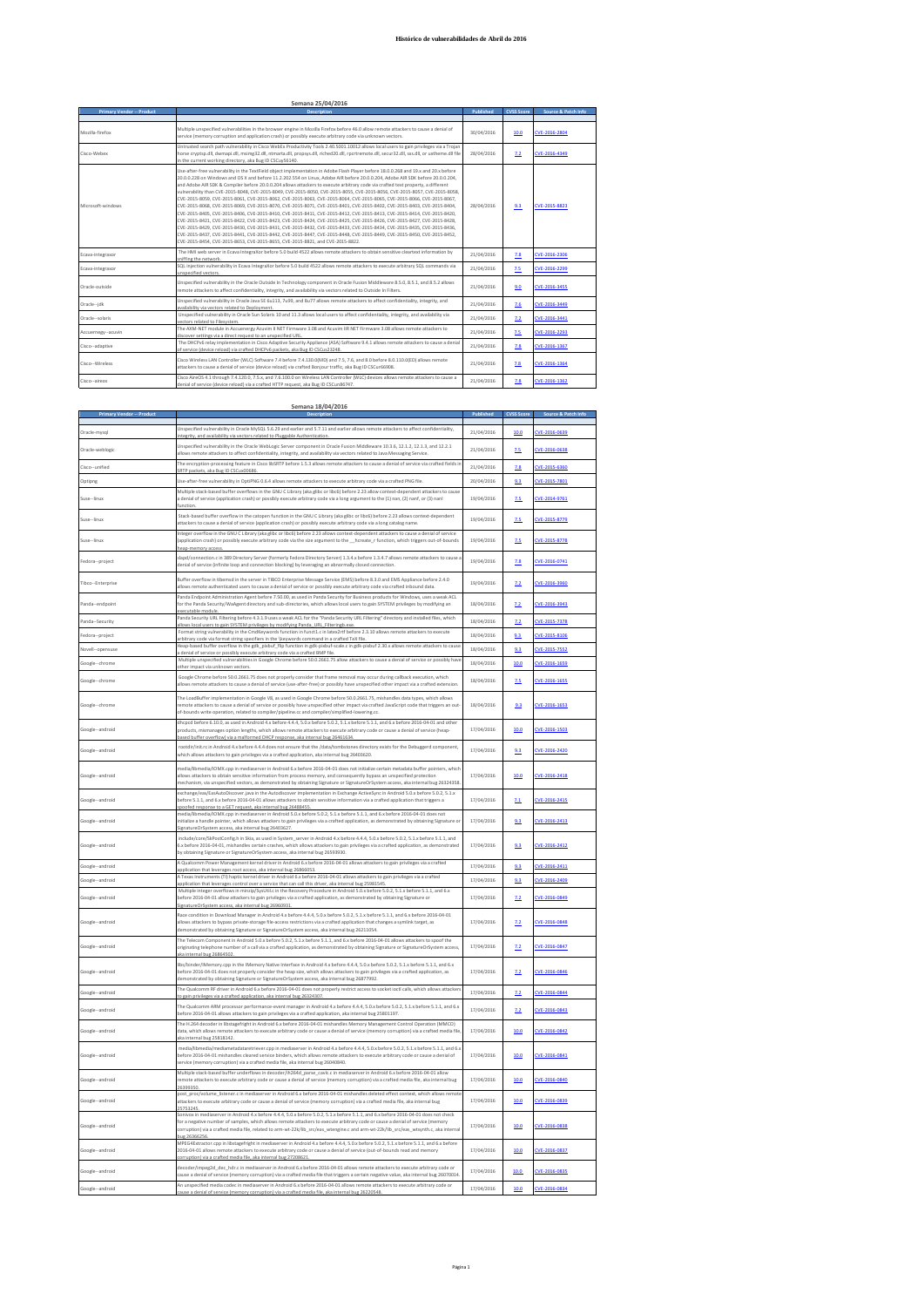## **Histórico de vulnerabilidades de Abril do 2016**

| <b>Primary Vendor -- Product</b> | <b>Description</b>                                                                                                                                                                                                                                                                                                                                                                                                                                                                                                                                                                                                                                                                                                                                                                                                                                                                                                                                                                                                                                                                                                                                                                                                                                                                                                                                                                            | Published  | <b>CVSS Score</b> | Source & Patch Info |
|----------------------------------|-----------------------------------------------------------------------------------------------------------------------------------------------------------------------------------------------------------------------------------------------------------------------------------------------------------------------------------------------------------------------------------------------------------------------------------------------------------------------------------------------------------------------------------------------------------------------------------------------------------------------------------------------------------------------------------------------------------------------------------------------------------------------------------------------------------------------------------------------------------------------------------------------------------------------------------------------------------------------------------------------------------------------------------------------------------------------------------------------------------------------------------------------------------------------------------------------------------------------------------------------------------------------------------------------------------------------------------------------------------------------------------------------|------------|-------------------|---------------------|
|                                  |                                                                                                                                                                                                                                                                                                                                                                                                                                                                                                                                                                                                                                                                                                                                                                                                                                                                                                                                                                                                                                                                                                                                                                                                                                                                                                                                                                                               |            |                   |                     |
| Mozilla-firefox                  | Multiple unspecified vulnerabilities in the browser engine in Mozilla Firefox before 46.0 allow remote attackers to cause a denial of<br>service (memory corruption and application crash) or possibly execute arbitrary code via unknown vectors.                                                                                                                                                                                                                                                                                                                                                                                                                                                                                                                                                                                                                                                                                                                                                                                                                                                                                                                                                                                                                                                                                                                                            | 30/04/2016 | 10.0              | CVE-2016-2804       |
| Cisco-Webex                      | Untrusted search path vulnerability in Cisco WebEx Productivity Tools 2.40.5001.10012 allows local users to gain privileges via a Trojan<br>horse cryptsp.dll, dwmapi.dll, msimg32.dll, ntmarta.dll, propsys.dll, riched20.dll, rpcrtremote.dll, secur32.dll, sxs.dll, or uxtheme.dll file<br>in the current working directory, aka Bug ID CSCuvS6140.                                                                                                                                                                                                                                                                                                                                                                                                                                                                                                                                                                                                                                                                                                                                                                                                                                                                                                                                                                                                                                        | 28/04/2016 | 7.2               | CVE-2016-4349       |
| Microsoft-windows                | Use-after-free vulnerability in the TextField object implementation in Adobe Flash Player before 18.0.0.268 and 19.x and 20.x before<br>20.0.0.228 on Windows and OS X and before 11.2.202.554 on Linux. Adobe AIR before 20.0.0.204. Adobe AIR SDK before 20.0.0.204.<br>and Adobe AIR SDK & Compiler before 20.0.0.204 allows attackers to execute arbitrary code via crafted text property, a different<br>vulnerability than CVE-2015-8048, CVE-2015-8049, CVE-2015-8050, CVE-2015-8055, CVE-2015-8056, CVE-2015-8057, CVE-2015-8058,<br>CVE-2015-8059, CVE-2015-8061, CVE-2015-8062, CVE-2015-8063, CVE-2015-8064, CVE-2015-8065, CVE-2015-8066, CVE-2015-8066,<br>CVE-2015-8068. CVE-2015-8069. CVE-2015-8070. CVE-2015-8071. CVE-2015-8401. CVE-2015-8402. CVE-2015-8403. CVE-2015-8404.<br>CVE-2015-8405. CVE-2015-8406. CVE-2015-8410. CVE-2015-8411. CVE-2015-8412. CVE-2015-8413. CVE-2015-8414. CVE-2015-8420.<br>CVE-2015-8421, CVE-2015-8422, CVE-2015-8423, CVE-2015-8424, CVE-2015-8425, CVE-2015-8426, CVE-2015-8427, CVE-2015-8428,<br>CVE-2015-8429, CVE-2015-8430, CVE-2015-8431, CVE-2015-8432, CVE-2015-8433, CVE-2015-8434, CVE-2015-8435, CVE-2015-8436,<br>CVE-2015-8437, CVE-2015-8441, CVE-2015-8442, CVE-2015-8447, CVE-2015-8448, CVE-2015-8449, CVE-2015-8450, CVE-2015-8452,<br>CVE-2015-8454, CVE-2015-8653, CVE-2015-8655, CVE-2015-8821, and CVE-2015-8822. | 28/04/2016 | 9.3               | CVE-2015-8823       |
| Ecava-integraxor                 | The HMI web server in Ecava IntegraXor before 5.0 build 4522 allows remote attackers to obtain sensitive cleartext information by<br>sniffing the network                                                                                                                                                                                                                                                                                                                                                                                                                                                                                                                                                                                                                                                                                                                                                                                                                                                                                                                                                                                                                                                                                                                                                                                                                                     | 21/04/2016 | 7.8               | CVE-2016-2306       |
| Ecava-integraxor                 | SQL injection vulnerability in Ecava IntegraXor before 5.0 build 4522 allows remote attackers to execute arbitrary SQL commands via<br>unspecified vectors.                                                                                                                                                                                                                                                                                                                                                                                                                                                                                                                                                                                                                                                                                                                                                                                                                                                                                                                                                                                                                                                                                                                                                                                                                                   | 21/04/2016 | 7.5               | CVE-2016-2299       |
| Oracle-outside                   | Unspecified vulnerability in the Oracle Outside In Technology component in Oracle Fusion Middleware 8.5.0, 8.5.1, and 8.5.2 allows<br>remote attackers to affect confidentiality, integrity, and availability via vectors related to Outside In Filters,                                                                                                                                                                                                                                                                                                                                                                                                                                                                                                                                                                                                                                                                                                                                                                                                                                                                                                                                                                                                                                                                                                                                      | 21/04/2016 | 9.0               | CVE-2016-3455       |
| Oracle--idk                      | Unspecified vulnerability in Oracle Java SE 6u113, 7u99, and 8u77 allows remote attackers to affect confidentiality, integrity, and<br>availability via vectors related to Deployment.                                                                                                                                                                                                                                                                                                                                                                                                                                                                                                                                                                                                                                                                                                                                                                                                                                                                                                                                                                                                                                                                                                                                                                                                        | 21/04/2016 | 7.6               | CVE-2016-3449       |
| Oracle -- solaris                | Unspecified vulnerability in Oracle Sun Solaris 10 and 11.3 allows local users to affect confidentiality, integrity, and availability via<br>rectors related to Filesystem.                                                                                                                                                                                                                                                                                                                                                                                                                                                                                                                                                                                                                                                                                                                                                                                                                                                                                                                                                                                                                                                                                                                                                                                                                   | 21/04/2016 | 22                | CVE-2016-3441       |
| Accuernegy--acuvin               | The AXM-NET module in Accuenergy Acuvim II NET Firmware 3.08 and Acuvim IIR NET Firmware 3.08 allows remote attackers to<br>discover settings via a direct request to an unspecified URL                                                                                                                                                                                                                                                                                                                                                                                                                                                                                                                                                                                                                                                                                                                                                                                                                                                                                                                                                                                                                                                                                                                                                                                                      | 21/04/2016 | 2.5               | CVE-2016-2293       |
| Cisco--adaptive                  | The DHCPv6 relay implementation in Cisco Adaptive Security Appliance (ASA) Software 9.4.1 allows remote attackers to cause a denial<br>of service (device reload) via crafted DHCPv6 packets, aka Bug ID CSCus23248.                                                                                                                                                                                                                                                                                                                                                                                                                                                                                                                                                                                                                                                                                                                                                                                                                                                                                                                                                                                                                                                                                                                                                                          | 21/04/2016 | 2.8               | CVE-2016-1367       |
| Cisco--Wireless                  | Cisco Wireless LAN Controller (WLC) Software 7.4 before 7.4.130.0(MD) and 7.5, 7.6, and 8.0 before 8.0.110.0(ED) allows remote<br>attackers to cause a denial of service (device reload) via crafted Bonjour traffic, aka Bug ID CSCur66908.                                                                                                                                                                                                                                                                                                                                                                                                                                                                                                                                                                                                                                                                                                                                                                                                                                                                                                                                                                                                                                                                                                                                                  | 21/04/2016 | 2.8               | CVE-2016-1364       |
| Cisco-aireos                     | Cisco AireOS 4.1 through 7.4.120.0, 7.5.x, and 7.6.100.0 on Wireless LAN Controller (WLC) devices allows remote attackers to cause a<br>denial of service (device reload) via a crafted HTTP request, aka Bug ID CSCun86747.                                                                                                                                                                                                                                                                                                                                                                                                                                                                                                                                                                                                                                                                                                                                                                                                                                                                                                                                                                                                                                                                                                                                                                  | 21/04/2016 | 7.8               | CVE-2016-1362       |
|                                  |                                                                                                                                                                                                                                                                                                                                                                                                                                                                                                                                                                                                                                                                                                                                                                                                                                                                                                                                                                                                                                                                                                                                                                                                                                                                                                                                                                                               |            |                   |                     |

|                   | Semana 18/04/2016                                                                                                                                                                                                                                                                                                                                                                                                              |            |         |                       |
|-------------------|--------------------------------------------------------------------------------------------------------------------------------------------------------------------------------------------------------------------------------------------------------------------------------------------------------------------------------------------------------------------------------------------------------------------------------|------------|---------|-----------------------|
|                   |                                                                                                                                                                                                                                                                                                                                                                                                                                |            | rvss si | e & Patch Info        |
| Oracle-mysql      | Unspecified vulnerability in Oracle MySQL 5.6.29 and earlier and 5.7.11 and earlier allows remote attackers to affect confidentiality,<br>tegrity, and availability via vectors related to Pluggable Authentication                                                                                                                                                                                                            | 21/04/2016 | 10.0    | CVE-2016-0639         |
| Oracle-weblogic   | Unspecified vulnerability in the Oracle WebLogic Server component in Oracle Fusion Middleware 10.3.6, 12.1.2, 12.1.3, and 12.2.1<br>allows remote attackers to affect confidentiality, integrity, and availability via vectors related to Java Messaging Service                                                                                                                                                               | 21/04/2016 | 2.5     | VE-2016-0638          |
| Cisco-unified     | The encryption-processing feature in Cisco libSRTP before 1.5.3 allows remote attackers to cause a denial of service via crafted fields in<br>packets, aka Bug ID CSCux00686                                                                                                                                                                                                                                                   | 21/04/2016 | 7.8     | CVE-2015-6360         |
| Optipng           | Use-after-free vulnerability in OptiPNG 0.6.4 allows remote attackers to execute arbitrary code via a crafted PNG file                                                                                                                                                                                                                                                                                                         | 20/04/2016 | 9.3     | VE-2015-7801          |
| Suse-linux        | Multiple stack-based buffer overflows in the GNU C Library (aka glibc or libc6) before 2.23 allow context-dependent attackers to caus<br>a denial of service (application crash) or possibly execute arbitrary code via a long argument to the (1) nan, (2) nanf, or (3) nanl<br>unction                                                                                                                                       | 19/04/2016 | 7.5     | CVE-2014-9761         |
| Suse-linux        | Stack-based buffer overflow in the catopen function in the GNU C Library (aka glibc or libc6) before 2.23 allows context-dependent<br>attackers to cause a denial of service (application crash) or possibly execute arbitrary code via a long catalog name                                                                                                                                                                    | 19/04/2016 | 7.5     | CVE-2015-8779         |
| Suse-linux        | Integer overflow in the GNU C Library (aka glibc or libc6) before 2.23 allows context-dependent attackers to cause a denial of service<br>(application crash) or possibly execute arbitrary code via the size argument to the hcreate r function, which triggers out-of-bounds<br>ean-memory access.                                                                                                                           | 19/04/2016 | 7.5     | CVE-2015-8778         |
| Fedora--project   | slapd/connection.c in 389 Directory Server (formerly Fedora Directory Server) 1.3.4.x before 1.3.4.7 allows remote attackers to cause<br>denial of service (infinite loop and connection blocking) by leveraging an abnormally closed connection.                                                                                                                                                                              | 19/04/2016 | 7.8     | CVE-2016-0741         |
| Tibco--Enterprise | Buffer overflow in tibemsd in the server in TIBCO Enterprise Message Service (EMS) before 8.3.0 and EMS Appliance before 2.4.0<br>allows remote authenticated users to cause a denial of service or possibly execute arbitrary code via crafted inbound data.                                                                                                                                                                  | 19/04/2016 | 7.2     | VE-2016-3960          |
| Panda-endpoint    | Panda Endpoint Administration Agent before 7.50.00, as used in Panda Security for Business products for Windows, uses a weak ACL<br>or the Panda Security/WaAgent directory and sub-directories, which allows local users to gain SYSTEM privileges by modifying an<br>werutable module                                                                                                                                        | 18/04/2016 | 2.2     | CVE-2016-3943         |
| Panda--Security   | Panda Security URL Filtering before 4.3.1.9 uses a weak ACL for the "Panda Security URL Filtering" directory and installed files, which<br>llows local users to gain SYSTEM privileges by modifying Panda URL Filteringb.ex                                                                                                                                                                                                    | 18/04/2016 | 7.2     | CVE-2015-7378         |
| Fedora--project   | Format string vulnerability in the CmdKeywords function in funct1.c in latex2rtf before 2.3.10 allows remote attackers to execute<br>arbitrary code via format string specifiers in the \keywords command in a crafted TeX file.                                                                                                                                                                                               | 18/04/2016 | 9.3     | VF-2015-8106          |
| Novell--opensuse  | leap-based buffer overflow in the gdk_pixbuf_flip function in gdk-pixbuf-scale.c in gdk-pixbuf 2.30.x allows remote attackers to cause                                                                                                                                                                                                                                                                                         | 18/04/2016 | 9.3     | CVE-2015-7552         |
| Google--chrome    | a denial of service or possibly execute arbitrary code via a crafted BMP file.<br>Multiple unspecified vulnerabilities in Google Chrome before 50.0.2661.75 allow attackers to cause a denial of service or possibly have<br>ther impact via unknown vectors                                                                                                                                                                   | 18/04/2016 | 10.0    | CVE-2016-1659         |
| Google--chrome    | Google Chrome before 50.0.2661.75 does not properly consider that frame removal may occur during callback execution, which<br>illows remote attackers to cause a denial of service (use-after-free) or possibly have unspecified other impact via a crafted extensior                                                                                                                                                          | 18/04/2016 | 2.5     | CVF-2016-1655         |
| Google--chrome    | The LoadBuffer implementation in Google V8, as used in Google Chrome before 50.0.2661.75, mishandles data types, which allows<br>emote attackers to cause a denial of service or possibly have unspecified other impact via crafted JavaScript code that triggers an out-<br>of-bounds write operation, related to compiler/pipeline.cc and compiler/simplified-lowering.cc.                                                   | 18/04/2016 | 9.3     | CVE-2016-1653         |
| Google--android   | dhcpcd before 6.10.0, as used in Android 4.x before 4.4.4, 5.0.x before 5.0.2, 5.1.x before 5.1.1, and 6.x before 2016-04-01 and other<br>products, mismanages option lengths, which allows remote attackers to execute arbitrary code or cause a denial of service (heap-<br>ased buffer overflow) via a malformed DHCP response, aka internal bug 26461634.                                                                  | 17/04/2016 | 10.0    | CVE-2016-1503         |
| Google--android   | rootdir/init.rc in Android 4.x before 4.4.4 does not ensure that the /data/tombstones directory exists for the Debuggerd component,<br>which allows attackers to gain privileges via a crafted application, aka internal bug 26403620.                                                                                                                                                                                         | 17/04/2016 | 9.3     | CVE-2016-2420         |
| Google--android   | media/libmedia/IOMX.cpp in mediaserver in Android 6.x before 2016-04-01 does not initialize certain metadata buffer pointers, which<br>allows attackers to obtain sensitive information from process memory, and consequently bypass an unspecified protection<br>nechanism, via unspecified vectors, as demonstrated by obtaining Signature or SignatureOrSystem access, aka internal bug 26324358.                           | 17/04/2016 | 10.0    | CVE-2016-2418         |
| Google--android   | exchange/eas/EasAutoDiscover.java in the Autodiscover implementation in Exchange ActiveSync in Android 5.0.x before 5.0.2, 5.1.x<br>before 5.1.1. and 6.x before 2016-04-01 allows attackers to obtain sensitive information via a crafted application that triggers a<br>spoofed response to a GET request, aka internal bug 26488455.                                                                                        | 17/04/2016 | 7.1     | CVE-2016-2415         |
| Google--android   | media/libmedia/IOMX.cpp in mediaserver in Android 5.0.x before 5.0.2, 5.1.x before 5.1.1, and 6.x before 2016-04-01 does not<br>nitialize a handle pointer, which allows attackers to gain privileges via a crafted application, as demonstrated by obtaining Signature or<br>ignatureOrSystem access, aka internal bug 26403627.                                                                                              | 17/04/2016 | 9.3     | CVE-2016-2413         |
| Google--android   | nclude/core/SkPostConfig.h in Skia, as used in System server in Android 4.x before 4.4.4, 5.0.x before 5.0.2, 5.1.x before 5.1.1, and<br>6.x before 2016-04-01, mishandles certain crashes, which allows attackers to gain privileges via a crafted application, as demonstrated<br>by obtaining Signature or SignatureOrSystem access, aka internal bug 26593930.                                                             | 17/04/2016 | 9.3     | CVE-2016-2412         |
| Google--android   | A Qualcomm Power Management kernel driver in Android 6.x before 2016-04-01 allows attackers to gain privileges via a crafted<br>lication that leverages root access, aka internal bug 26866053.                                                                                                                                                                                                                                | 17/04/2016 | 9.3     | CVE-2016-2411         |
| Google--android   | A Texas Instruments (TI) haptic kernel driver in Android 6.x before 2016-04-01 allows attackers to gain privileges via a crafted                                                                                                                                                                                                                                                                                               | 17/04/2016 | 9.3     | VF-2016-2409          |
| Google--android   | pplication that leverages control over a service that can call this driver, aka internal bug 25981545.<br>Multiple integer overflows in minzip/SysUtil.c in the Recovery Procedure in Android 5.0.x before 5.0.2, 5.1.x before 5.1.1, and 6.x<br>before 2016-04-01 allow attackers to gain privileges via a crafted application, as demonstrated by obtaining Signature or                                                     | 17/04/2016 | 2.2     | CVE-2016-0849         |
| Google--android   | gnatureOrSystem access, aka internal bug 26960931.<br>Race condition in Download Manager in Android 4.x before 4.4.4, 5.0.x before 5.0.2, 5.1.x before 5.1.1, and 6.x before 2016-04-01<br>allows attackers to bypass private-storage file-access restrictions via a crafted application that changes a symlink target, as                                                                                                     | 17/04/2016 | 7.2     | CVE-2016-0848         |
|                   | demonstrated by obtaining Signature or SignatureOrSystem access, aka internal bug 26211054.<br>The Telecom Component in Android 5.0.x before 5.0.2, 5.1.x before 5.1.1, and 6.x before 2016-04-01 allows attackers to spoof the                                                                                                                                                                                                |            |         |                       |
| Google--android   | priginating telephone number of a call via a crafted application, as demonstrated by obtaining Signature or SignatureOrSystem access,<br>ika internal bug 26864502.                                                                                                                                                                                                                                                            | 17/04/2016 | 7.2     | CVE-2016-0847         |
| Google--android   | libs/binder/IMemory.cpp in the IMemory Native Interface in Android 4.x before 4.4.4, 5.0.x before 5.0.2, 5.1.x before 5.1.1, and 6.x<br>before 2016-04-01 does not properly consider the heap size, which allows attackers to gain privileges via a crafted application, as<br>demonstrated by obtaining Signature or SignatureOrSystem access, aka internal bug 26877992.                                                     | 17/04/2016 | 7.2     | VE-2016-0846          |
| Google--android   | The Qualcomm RF driver in Android 6.x before 2016-04-01 does not properly restrict access to socket ioctl calls, which allows attackers<br>o gain privileges via a crafted application, aka internal bug 26324307.                                                                                                                                                                                                             | 17/04/2016 | 7.2     | VE-2016-0844          |
| Google--android   | The Qualcomm ARM processor performance-event manager in Android 4.x before 4.4.4, 5.0.x before 5.0.2, 5.1.x before 5.1.1, and 6.x<br>before 2016-04-01 allows attackers to gain privileges via a crafted application, aka internal bug 25801197.                                                                                                                                                                               | 17/04/2016 | 7.2     | CVE-2016-0843         |
| Google--android   | The H.264 decoder in libstagefright in Android 6.x before 2016-04-01 mishandles Memory Management Control Operation (MMCO)<br>data, which allows remote attackers to execute arbitrary code or cause a denial of service (memory corruption) via a crafted media file<br>ka internal bug 25818142.                                                                                                                             | 17/04/2016 | 10.0    | CVE-2016-0842         |
| Google-android    | media/libmedia/mediametadataretriever.cpp in mediaserver in Android 4.x before 4.4.4, 5.0.x before 5.0.2, 5.1.x before 5.1.1, and 6.<br>before 2016-04-01 mishandles cleared service binders, which allows remote attackers to execute arbitrary code or cause a denial of<br>service (memory corruption) via a crafted media file, aka internal bug 26040840.                                                                 | 17/04/2016 | 10.0    | CVE-2016-0841         |
| Google--android   | Multiple stack-based buffer underflows in decoder/ih264d_parse_cavic.c in mediaserver in Android 6.x before 2016-04-01 allow<br>remote attackers to execute arbitrary code or cause a denial of service (memory corruption) via a crafted media file, aka internal bug<br>26399350.                                                                                                                                            | 17/04/2016 | 10.0    | CVE-2016-0840         |
| Google--android   | post proc/volume listener.c in mediaserver in Android 6.x before 2016-04-01 mishandles deleted effect context, which allows remo<br>attackers to execute arbitrary code or cause a denial of service (memory corruption) via a crafted media file, aka internal bug<br>25753245.                                                                                                                                               | 17/04/2016 | 10.0    | <b>PERD-3016-0839</b> |
| Google--android   | Sonivox in mediaserver in Android 4.x before 4.4.4, 5.0.x before 5.0.2, 5.1.x before 5.1.1, and 6.x before 2016-04-01 does not check<br>for a negative number of samples, which allows remote attackers to execute arbitrary code or cause a denial of service (memory<br>corruption) via a crafted media file, related to arm-wt-22k/lib_src/eas_wtengine.c and arm-wt-22k/lib_src/eas_wtsynth.c, aka internal<br>ag 26366256 | 17/04/2016 | 10.0    | CVE-2016-0838         |
| Google--android   | MPEG4Extractor.cpp in libstagefright in mediaserver in Android 4.x before 4.4.4, 5.0.x before 5.0.2, 5.1.x before 5.1.1, and 6.x before<br>2016-04-01 allows remote attackers to execute arbitrary code or cause a denial of service (out-of-bounds read and memory<br>on) via a crafted media file, aka internal bug 27208621                                                                                                 | 17/04/2016 | 10.0    | CVE-2016-0837         |
| Google--android   | decoder/impeg2d_dec_hdr.c in mediaserver in Android 6.x before 2016-04-01 allows remote attackers to execute arbitrary code or<br>ause a denial of service (memory corruption) via a crafted media file that triggers a certain negative value, aka internal bug 26070014.                                                                                                                                                     | 17/04/2016 | 10.0    | CVE-2016-0835         |
| Google--android   | An unspecified media codec in mediaserver in Android 6.x before 2016-04-01 allows remote attackers to execute arbitrary code or<br>nal bug 2622                                                                                                                                                                                                                                                                                | 17/04/2016 | 10.0    | CVE-2016-0834         |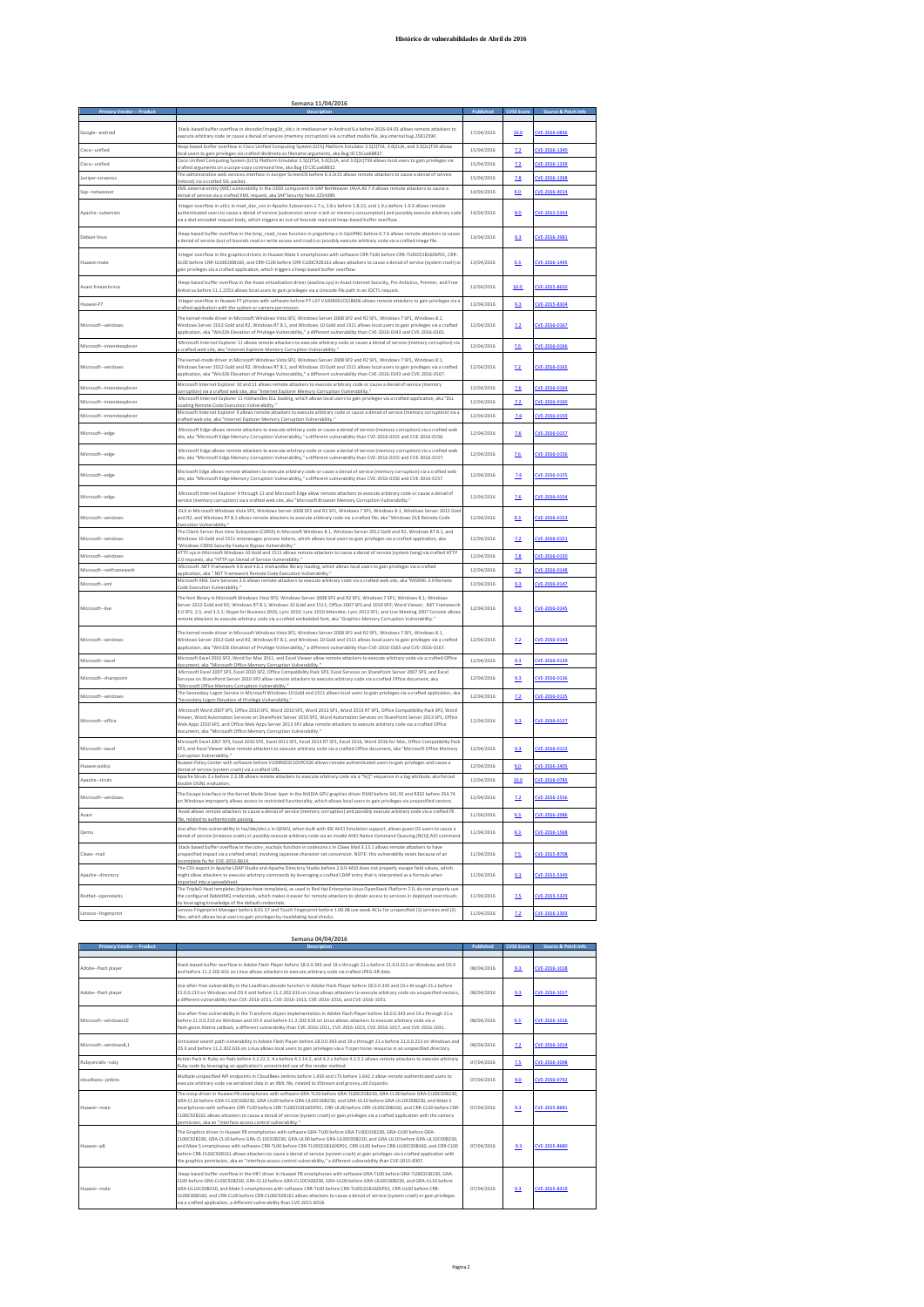## **Histórico de vulnerabilidades de Abril do 2016**

|                            | Semana 11/04/2016                                                                                                                                                                                                                                                                                                                                                                                                                                                                                                                                            |            |            |               |
|----------------------------|--------------------------------------------------------------------------------------------------------------------------------------------------------------------------------------------------------------------------------------------------------------------------------------------------------------------------------------------------------------------------------------------------------------------------------------------------------------------------------------------------------------------------------------------------------------|------------|------------|---------------|
|                            |                                                                                                                                                                                                                                                                                                                                                                                                                                                                                                                                                              |            |            |               |
| Google--android            | Stack-based buffer overflow in decoder/impeg2d vld.c in mediaserver in Android 6.x before 2016-04-01 allows remote attackers to<br>execute arbitrary code or cause a denial of service (memory corruption) via a crafted media file, aka internal bug 25812590.                                                                                                                                                                                                                                                                                              | 17/04/2016 | 10.0       | CVE-2016-0836 |
| Cisco--unified             | Heap-based buffer overflow in Cisco Unified Computing System (UCS) Platform Emulator 2.5(2)TS4, 3.0(2c)A, and 3.0(2c)TS9 allows<br>ocal users to gain privileges via crafted libclimeta.so filename arguments, aka Bug ID CSCux68837                                                                                                                                                                                                                                                                                                                         | 15/04/2016 | 7.2        | CVE-2016-1340 |
| Cisco--unified             | Cisco Unified Computing System (UCS) Platform Emulator 2.5(2)TS4, 3.0(2c)A, and 3.0(2c)TS9 allows local users to gain privileges via<br>crafted arguments on a ucspe-copy command line, aka Bug ID CSCux68832.                                                                                                                                                                                                                                                                                                                                               | 15/04/2016 | 7.2        | CVE-2016-1339 |
| Juniper-screenos           | The administrative web services interface in Juniper ScreenOS before 6.3.0r21 allows remote attackers to cause a denial of service<br>reboot) via a crafted SSL packet                                                                                                                                                                                                                                                                                                                                                                                       | 15/04/2016 | 7.8        | CVE-2016-1268 |
| Sap--netweaver             | XML external entity (XXE) vulnerability in the UDDI component in SAP NetWeaver JAVA AS 7.4 allows remote attackers to cause a<br>denial of service via a crafted XML request, aka SAP Security Note 2254389.                                                                                                                                                                                                                                                                                                                                                 | 14/04/2016 | 9.0        | CVE-2016-4014 |
| Apache--subersion          | Integer overflow in util.c in mod_day_svn in Apache Subversion 1.7.x, 1.8.x before 1.8.15, and 1.9.x before 1.9.3 allows remote<br>authenticated users to cause a denial of service (subversion server crash or memory consumption) and possibly execute arbitrary code<br>via a skel-encoded request body, which triggers an out-of-bounds read and heap-based buffer overflow.                                                                                                                                                                             | 14/04/2016 | 8.0        | CVE-2015-5343 |
| Debian-linux               | Heap-based buffer overflow in the bmp_read_rows function in pngxrbmp.c in OptiPNG before 0.7.6 allows remote attackers to cause<br>a denial of service (out-of-bounds read or write access and crash) or possibly execute arbitrary code via a crafted image file                                                                                                                                                                                                                                                                                            | 13/04/2016 | 9.3        | CVE-2016-3981 |
| Huawei-mate                | Integer overflow in the graphics drivers in Huawei Mate S smartphones with software CRR-TLOO before CRR-TLOOC01B160SP01, CRR-<br>UL00 before CRR-UL00C00B160, and CRR-CL00 before CRR-CL00C92B161 allows attackers to cause a denial of service (system crash) or<br>gain privileges via a crafted application, which triggers a heap-based buffer overflow.                                                                                                                                                                                                 | 13/04/2016 | 9.3        | CVE-2016-1495 |
| Avast-freeantivirus        | Heap-based buffer overflow in the Avast virtualization driver (aswSnx.sys) in Avast Internet Security, Pro Antivirus, Premier, and Free<br>Antivirus before 11.1.2253 allows local users to gain privileges via a Unicode file path in an IOCTL request.                                                                                                                                                                                                                                                                                                     | 13/04/2016 | 10.0       | CVE-2015-8620 |
| Huawei-P7                  | Integer overflow in Huawei P7 phones with software before P7-L07 V100R001C01B606 allows remote attackers to gain privileges via a<br>rafted application with the system or camera permission                                                                                                                                                                                                                                                                                                                                                                 | 13/04/2016 | 9.3        | CVE-2015-8304 |
| Microsoft -- windows       | The kernel-mode driver in Microsoft Windows Vista SP2, Windows Server 2008 SP2 and R2 SP1, Windows 7 SP1, Windows 8.1,<br>Windows Server 2012 Gold and R2, Windows RT 8.1, and Windows 10 Gold and 1511 allows local users to gain privileges via a crafted<br>application, aka "Win32k Elevation of Privilege Vulnerability," a different vulnerability than CVE-2016-0143 and CVE-2016-0165.                                                                                                                                                               | 12/04/2016 | 2.2        | CVE-2016-0167 |
| Microsoft--intenetexplorer | Microsoft Internet Explorer 11 allows remote attackers to execute arbitrary code or cause a denial of service (memory corruption) via<br>crafted web site, aka "Internet Explorer Memory Corruption Vulnerability."                                                                                                                                                                                                                                                                                                                                          | 12/04/2016 | 7.6        | CVE-2016-0166 |
| Microsoft--windows         | The kernel-mode driver in Microsoft Windows Vista SP2, Windows Server 2008 SP2 and R2 SP1, Windows 7 SP1, Windows 8.1,<br>Windows Server 2012 Gold and R2, Windows RT 8.1, and Windows 10 Gold and 1511 allows local users to gain privileges via a crafted<br>application, aka "Win32k Elevation of Privilege Vulnerability," a different vulnerability than CVE-2016-0143 and CVE-2016-0167.                                                                                                                                                               | 12/04/2016 | 2.2        | CVE-2016-0165 |
| Microsoft--intenetexplorer | Microsoft Internet Explorer 10 and 11 allows remote attackers to execute arbitrary code or cause a denial of service (memory<br>corruption) via a crafted web site, aka "Internet Explorer Memory Corruption Vulnerability."                                                                                                                                                                                                                                                                                                                                 | 12/04/2016 | 7.6        | CVE-2016-0164 |
| Microsoft--intenetexplorer | Microsoft Internet Explorer 11 mishandles DLL loading, which allows local users to gain privileges via a crafted application, aka "DLL<br>oading Remote Code Execution Vulnerability.                                                                                                                                                                                                                                                                                                                                                                        | 12/04/2016 | 7.2        | CVE-2016-0160 |
| Microsoft--intenetexplorer | Microsoft Internet Explorer 9 allows remote attackers to execute arbitrary code or cause a denial of service (memory corruption) via a<br>trafted web site, aka "Internet Explorer Memory Corruption Vulnerability                                                                                                                                                                                                                                                                                                                                           | 12/04/2016 | 7.6        | CVE-2016-0159 |
| Microsoft--edge            | Microsoft Edge allows remote attackers to execute arbitrary code or cause a denial of service (memory corruption) via a crafted web<br>site, aka "Microsoft Edge Memory Corruption Vulnerability," a different vulnerability than CVE-2016-0155 and CVE-2016-0156.                                                                                                                                                                                                                                                                                           | 12/04/2016 | 7.6        | CVE-2016-0157 |
| Microsoft--edge            | Microsoft Edge allows remote attackers to execute arbitrary code or cause a denial of service (memory corruption) via a crafted web<br>site, aka "Microsoft Edge Memory Corruption Vulnerability," a different vulnerability than CVE-2016-0155 and CVE-2016-0157.                                                                                                                                                                                                                                                                                           | 12/04/2016 | 7.6        | CVE-2016-0156 |
| Microsoft--edge            | Microsoft Edge allows remote attackers to execute arbitrary code or cause a denial of service (memory corruption) via a crafted web<br>site, aka "Microsoft Edge Memory Corruption Vulnerability," a different vulnerability than CVE-2016-0156 and CVE-2016-0157.                                                                                                                                                                                                                                                                                           | 12/04/2016 | 7.6        | CVE-2016-0155 |
| Microsoft--edge            | Microsoft Internet Explorer 9 through 11 and Microsoft Edge allow remote attackers to execute arbitrary code or cause a denial of<br>"service (memory corruption) via a crafted web site, aka "Microsoft Browser Memory Corruption Vulnerability."                                                                                                                                                                                                                                                                                                           | 12/04/2016 | 7.6        | CVE-2016-0154 |
| Microsoft -- windows       | OLE in Microsoft Windows Vista SP2, Windows Server 2008 SP2 and R2 SP1, Windows 7 SP1, Windows 8.1, Windows Server 2012 Gold<br>and R2, and Windows RT 8.1 allows remote attackers to execute arbitrary code via a crafted file, aka "Windows OLE Remote Code<br>Execution Vulnerability."                                                                                                                                                                                                                                                                   | 12/04/2016 | 9.3        | CVE-2016-0153 |
| Microsoft--windows         | The Client-Server Run-time Subsystem (CSRSS) in Microsoft Windows 8.1, Windows Server 2012 Gold and R2, Windows RT 8.1, and<br>Nindows 10 Gold and 1511 mismanages process tokens, which allows local users to gain privileges via a crafted application, aka<br>'Windows CSRSS Security Feature Bypass Vulnerability."                                                                                                                                                                                                                                      | 12/04/2016 | 2.2        | CVE-2016-0151 |
| Microsoft--windows         | HTTP.sys in Microsoft Windows 10 Gold and 1511 allows remote attackers to cause a denial of service (system hang) via crafted HTTP<br>2.0 requests, aka "HTTP.sys Denial of Service Vulnerability."                                                                                                                                                                                                                                                                                                                                                          | 12/04/2016 | 7.8        | CVE-2016-0150 |
| Microsoft--netframework    | Microsoft .NET Framework 4.6 and 4.6.1 mishandles library loading, which allows local users to gain privileges via a crafted                                                                                                                                                                                                                                                                                                                                                                                                                                 | 12/04/2016 | 7.2        | CVE-2016-0148 |
| Microsoft--xml             | application, aka ".NET Framework Remote Code Execution Vulnerability.<br>Microsoft XML Core Services 3.0 allows remote attackers to execute arbitrary code via a crafted web site, aka "MSXML 3.0 Remote                                                                                                                                                                                                                                                                                                                                                     | 12/04/2016 | 9.3        | CVE-2016-0147 |
| Microsoft--live            | ode Execution Vulnerability."<br>The font library in Microsoft Windows Vista SP2; Windows Server 2008 SP2 and R2 SP1; Windows 7 SP1; Windows 8.1; Windows<br>Server 2012 Gold and R2; Windows RT 8.1; Windows 10 Gold and 1511; Office 2007 SP3 and 2010 SP2; Word Viewer; .NET Framework<br>3.0 SP2, 3.5, and 3.5.1; Skype for Business 2016; Lync 2010; Lync 2010 Attendee; Lync 2013 SP1; and Live Meeting 2007 Console allows<br>remote attackers to execute arbitrary code via a crafted embedded font, aka "Graphics Memory Corruption Vulnerability." | 12/04/2016 | 9.3        | CVE-2016-0145 |
| Microsoft--windows         | The kernel-mode driver in Microsoft Windows Vista SP2. Windows Server 2008 SP2 and R2 SP1. Windows 7 SP1. Windows 8.1.<br>Windows Server 2012 Gold and R2, Windows RT 8.1, and Windows 10 Gold and 1511 allows local users to gain privileges via a crafted<br>application, aka "Win32k Elevation of Privilege Vulnerability," a different vulnerability than CVE-2016-0165 and CVE-2016-0167.                                                                                                                                                               | 12/04/2016 | 7.2        | CVE-2016-0143 |
| Microsoft--excel           | Microsoft Excel 2010 SP2, Word for Mac 2011, and Excel Viewer allow remote attackers to execute arbitrary code via a crafted Office                                                                                                                                                                                                                                                                                                                                                                                                                          | 12/04/2016 | 9.3        | CVE-2016-0139 |
| Microsoft -- sharepoint    | document, aka "Microsoft Office Memory Corruption Vulnerability."<br>Microsoft Excel 2007 SP3, Excel 2010 SP2, Office Compatibility Pack SP3, Excel Services on SharePoint Server 2007 SP3, and Excel<br>Services on SharePoint Server 2010 SP2 allow remote attackers to execute arbitrary code via a crafted Office document, aka<br>'Microsoft Office Memory Corruption Vulnerability."                                                                                                                                                                   | 12/04/2016 | 9.3        | CVE-2016-0136 |
| Microsoft--windows         | The Secondary Logon Service in Microsoft Windows 10 Gold and 1511 allows local users to gain privileges via a crafted application, aka                                                                                                                                                                                                                                                                                                                                                                                                                       | 12/04/2016 | 7.2        | CVE-2016-0135 |
| Microsoft--office          | Secondary Logon Elevation of Privilege Vulnerability.<br>Microsoft Word 2007 SP3. Office 2010 SP2, Word 2010 SP2, Word 2013 SP1, Word 2013 RT SP1, Office Compatibility Pack SP3, Word<br>Viewer, Word Automation Services on SharePoint Server 2010 SP2, Word Automation Services on SharePoint Server 2013 SP1, Office<br>Web Apps 2010 SP2, and Office Web Apps Server 2013 SP1 allow remote attackers to execute arbitrary code via a crafted Office<br>document, aka "Microsoft Office Memory Corruption Vulnerability."                                | 12/04/2016 | 9.3        | CVE-2016-0127 |
| Microsoft--excel           | Microsoft Excel 2007 SP3, Excel 2010 SP2, Excel 2013 SP1, Excel 2013 RT SP1, Excel 2016, Word 2016 for Mac, Office Compatibility Pack<br>SP3, and Excel Viewer allow remote attackers to execute arbitrary code via a crafted Office document, aka "Microsoft Office Memory<br>Corruption Vulnerability.'                                                                                                                                                                                                                                                    | 12/04/2016 | 9.3        | CVE-2016-0122 |
| Huawei-policy              | Huawei Policy Center with software before V100R003C10SPC020 allows remote authenticated users to gain privileges and cause a<br>denial of service (system crash) via a crafted URL                                                                                                                                                                                                                                                                                                                                                                           | 12/04/2016 | 9.0        | CVE-2016-2405 |
| Apache--struts             | Apache Struts 2.x before 2.3.28 allows remote attackers to execute arbitrary code via a "%{}" sequence in a tag attribute, aka forced<br>ouble OGNL evaluation.                                                                                                                                                                                                                                                                                                                                                                                              | 12/04/2016 | 10.0       | CVE-2016-0785 |
| Microsoft--windo           | The Escape interface in the Kernel Mode Driver layer in the NVIDIA GPU graphics driver R340 before 341.95 and R352 before 354.74<br>on Windows improperly allows access to restricted functionality, which allows local users to gain privileges via unspecified vectors                                                                                                                                                                                                                                                                                     | 12/04/2016 | 7.2        | CVE-2016-2556 |
| Avast                      | Avast allows remote attackers to cause a denial of service (memory corruption) and possibly execute arbitrary code via a crafted PE                                                                                                                                                                                                                                                                                                                                                                                                                          | 11/04/2016 | 9.3        | CVE-2016-3986 |
| Qemu                       | ile, related to authenticode parsing.<br>Use-after-free vulnerability in hw/ide/ahci.c in QEMU, when built with IDE AHCI Emulation support, allows guest OS users to cause a<br>denial of service (instance crash) or possibly execute arbitrary code via an invalid AHCI Native Command Queuing (NCQ) AIO command                                                                                                                                                                                                                                           | 11/04/2016 | 9.3.       | CVE-2016-1568 |
| Claws--mail                | Stack-based buffer overflow in the conv euctojis function in codeconv.c in Claws Mail 3.13.1 allows remote attackers to have<br>unspecified impact via a crafted email, involving Japanese character set conversion. NOTE: this vulnerability exists because of an<br>ncomplete fix for CVE-2015-8614.                                                                                                                                                                                                                                                       | 11/04/2016 | <u>7.5</u> | CVE-2015-8708 |
| Apache-directory           | The CSV export in Apache LDAP Studio and Apache Directory Studio before 2.0.0-M10 does not properly escape field values, which<br>might allow attackers to execute arbitrary commands by leveraging a crafted LDAP entry that is interpreted as a formula when<br>imported into a spreadsheet.                                                                                                                                                                                                                                                               | 11/04/2016 | 9.3        | CVE-2015-5349 |
| Redhat--openstacks         | The TripleO Heat templates (tripleo-heat-templates), as used in Red Hat Enterprise Linux OpenStack Platform 7.0, do not properly use<br>the configured RabbitMQ credentials, which makes it easier for remote attackers to obtain access to services in deployed overclouds<br>by leveraging knowledge of the default credentials                                                                                                                                                                                                                            | 11/04/2016 | 7.5        | CVE-2015-5329 |
| Lenovo--fingerprint        | Lenovo Fingerprint Manager before 8.01.57 and Touch Fingerprint before 1.00.08 use weak ACLs for unspecified (1) services and (2)<br>files, which allows local users to gain privileges by invalidating local checks                                                                                                                                                                                                                                                                                                                                         | 11/04/2016 | 7.2        | CVE-2016-2393 |

| Semana 04/04/2016                |                                                                                                                                                                                                                                                                                                                                                                                                                                                                                                                                                                                                                                        |            |                   |                     |
|----------------------------------|----------------------------------------------------------------------------------------------------------------------------------------------------------------------------------------------------------------------------------------------------------------------------------------------------------------------------------------------------------------------------------------------------------------------------------------------------------------------------------------------------------------------------------------------------------------------------------------------------------------------------------------|------------|-------------------|---------------------|
| <b>Primary Vendor -- Product</b> | Description                                                                                                                                                                                                                                                                                                                                                                                                                                                                                                                                                                                                                            | Published  | <b>CVSS Score</b> | Source & Patch Info |
| Adobe--flash player              | Stack-based buffer overflow in Adobe Flash Player before 18.0.0.343 and 19.x through 21.x before 21.0.0.213 on Windows and OS X<br>and before 11.2.202.616 on Linux allows attackers to execute arbitrary code via crafted JPEG-XR data.                                                                                                                                                                                                                                                                                                                                                                                               | 08/04/2016 | 9.3               | CVE-2016-1018       |
| Adobe--flash player              | Use-after-free vulnerability in the LoadVars.decode function in Adobe Flash Player before 18.0.0.343 and 19.x through 21.x before<br>21.0.0.213 on Windows and OS X and before 11.2.202.616 on Linux allows attackers to execute arbitrary code via unspecified vectors.<br>a different vulnerability than CVE-2016-1011, CVE-2016-1013, CVE-2016-1016, and CVE-2016-1031.                                                                                                                                                                                                                                                             | 08/04/2016 | 9.3               | CVE-2016-1017       |
| Microsoft--windows10             | Use-after-free vulnerability in the Transform object implementation in Adobe Flash Player before 18.0.0.343 and 19.x through 21.x<br>before 21.0.0.213 on Windows and OS X and before 11.2.202.616 on Linux allows attackers to execute arbitrary code via a<br>flash.geom.Matrix callback, a different vulnerability than CVE-2016-1011, CVE-2016-1013, CVE-2016-1017, and CVE-2016-1031.                                                                                                                                                                                                                                             | 08/04/2016 | 9.3               | CVE-2016-1016       |
| Microsoft--windows8.1            | Untrusted search path vulnerability in Adobe Flash Player before 18.0.0.343 and 19.x through 21.x before 21.0.0.213 on Windows and<br>OS X and before 11.2.202.616 on Linux allows local users to gain privileges via a Trojan horse resource in an unspecified directory.                                                                                                                                                                                                                                                                                                                                                             | 08/04/2016 | 7.2               | CVE-2016-1014       |
| Rubyonrails--ruby                | Action Pack in Ruby on Rails before 3.2.22.2. 4.x before 4.1.14.2. and 4.2.x before 4.2.5.2 allows remote attackers to execute arbitrary<br>Ruby code by leveraging an application's unrestricted use of the render method.                                                                                                                                                                                                                                                                                                                                                                                                            | 07/04/2016 | 7.5               | CVE-2016-2098       |
| cloudbees-jetkins                | Multiple unspecified API endpoints in CloudBees Jenkins before 1.650 and LTS before 1.642.2 allow remote authenticated users to<br>execute arbitrary code via serialized data in an XML file, related to XStream and groovy.util.Expando.                                                                                                                                                                                                                                                                                                                                                                                              | 07/04/2016 | 9.0               | CVE-2016-0792       |
| Huawei--mate                     | The ovisp driver in Huawei P8 smartphones with software GRA-TLO0 before GRA-TLO0C01B230, GRA-CLO0 before GRA-CLO0C92B230,<br>GRA-CL10 before GRA-CL10C92B230, GRA-UL00 before GRA-UL00C00B230, and GRA-UL10 before GRA-UL10C00B230, and Mate S<br>smartphones with software CRR-TL00 before CRR-TL00C01B160SP01, CRR-UL00 before CRR-UL00C00B160, and CRR-CL00 before CRR-<br>CL00C92B161 allows attackers to cause a denial of service (system crash) or gain privileges via a crafted application with the camera<br>permission, aka an "interface access control vulnerability."                                                    | 07/04/2016 | 9.3               | CVE-2015-8681       |
| Huawei--p8                       | The Graphics driver in Huawei P8 smartphones with software GRA-TL00 before GRA-TL00C01B230, GRA-CL00 before GRA-<br>CL00C92B230, GRA-CL10 before GRA-CL10C92B230, GRA-UL00 before GRA-UL00C00B230, and GRA-UL10 before GRA-UL10C00B230,<br>and Mate S smartphones with software CRR-TL00 before CRR-TL00C01B160SP01, CRR-UL00 before CRR-UL00C00B160, and CRR-CL00<br>before CRR-CL00C92B161 allows attackers to cause a denial of service (system crash) or gain privileges via a crafted application with<br>the graphics permission, aka an "interface access control vulnerability," a different vulnerability than CVE-2015-8307. | 07/04/2016 | 9.3               | CVE-2015-8680       |
| Huawei--mate                     | Heap-based buffer overflow in the HIFI driver in Huawei P8 smartphones with software GRA-TL00 before GRA-TL00C01B230, GRA-<br>CL00 before GRA-CL00C92B230. GRA-CL10 before GRA-CL10C92B230. GRA-UL00 before GRA-UL00C00B230. and GRA-UL10 before<br>GRA-UL10C00B230, and Mate S smartphones with software CRR-TL00 before CRR-TL00C01B160SP01, CRR-UL00 before CRR-<br>UL00C00B160, and CRR-CL00 before CRR-CL00C92B161 allows attackers to cause a denial of service (system crash) or gain privileges<br>via a crafted application, a different vulnerability than CVE-2015-8318.                                                    | 07/04/2016 | 9.3               | CVE-2015-8319       |